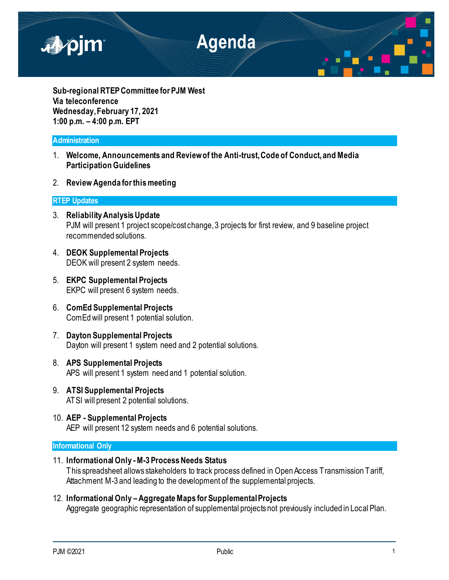

**Sub-regional RTEP Committee for PJM West Via teleconference Wednesday, February 17, 2021 1:00 p.m. – 4:00 p.m. EPT**

# **Administration**

- 1. **Welcome, Announcements and Review of the Anti-trust, Code of Conduct, and Media Participation Guidelines**
- 2. **Review Agenda for this meeting**

# **RTEP Updates**

- 3. **Reliability Analysis Update** PJM will present 1 project scope/cost change, 3 projects for first review, and 9 baseline project recommended solutions.
- 4. **DEOK Supplemental Projects** DEOK will present 2 system needs.
- 5. **EKPC Supplemental Projects** EKPC will present 6 system needs.
- 6. **ComEd Supplemental Projects** ComEd will present 1 potential solution.
- 7. **Dayton Supplemental Projects** Dayton will present 1 system need and 2 potential solutions.
- 8. **APS Supplemental Projects** APS will present 1 system need and 1 potential solution.
- 9. **ATSI Supplemental Projects** ATSI will present 2 potential solutions.
- 10. **AEP - Supplemental Projects** AEP will present 12 system needs and 6 potential solutions.

# **Informational Only**

11. **Informational Only -M-3 Process Needs Status**

This spreadsheet allows stakeholders to track process defined in Open Access Transmission Tariff, Attachment M-3 and leading to the development of the supplemental projects.

12. **Informational Only –Aggregate Maps for Supplemental Projects** Aggregate geographic representation of supplemental projects not previously included in Local Plan.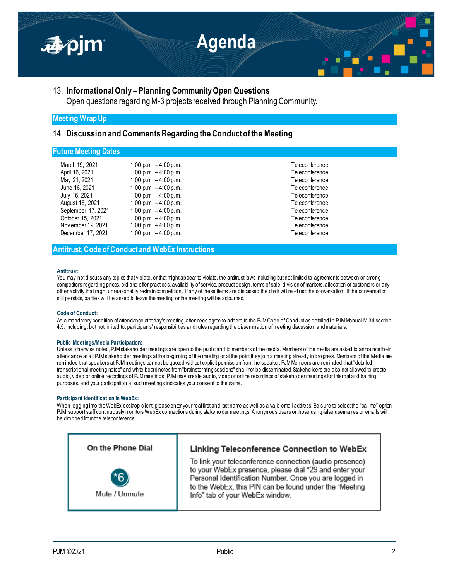

# 13. **Informational Only – Planning Community Open Questions**

Open questions regarding M-3 projects received through Planning Community.

# **Meeting Wrap Up**

## 14. **Discussion and Comments Regarding the Conduct of the Meeting**

## **Future Meeting Dates**

| March 19, 2021     | 1:00 p.m. $-4:00$ p.m. | Teleconference |
|--------------------|------------------------|----------------|
| April 16, 2021     | 1:00 p.m. $-4:00$ p.m. | Teleconference |
| May 21, 2021       | 1:00 p.m. $-4:00$ p.m. | Teleconference |
| June 16, 2021      | 1:00 p.m. $-4:00$ p.m. | Teleconference |
| July 16, 2021      | 1:00 p.m. $-4:00$ p.m. | Teleconference |
| August 16, 2021    | 1:00 p.m. $-4:00$ p.m. | Teleconference |
| September 17, 2021 | 1:00 p.m. $-4:00$ p.m. | Teleconference |
| October 15, 2021   | 1:00 p.m. $-4:00$ p.m. | Teleconference |
| Nov ember 19, 2021 | 1:00 p.m. $-4:00$ p.m. | Teleconference |
| December 17, 2021  | 1:00 p.m. $-4:00$ p.m. | Teleconference |

Teleconference Teleconference Teleconference Teleconference Teleconference Teleconference Teleconference Teleconference Teleconference

## **Antitrust, Code of Conduct and WebEx Instructions**

#### **Antitrust:**

You may not discuss any topics that violate, or that might appear to violate, the antitrust laws including but not limited to agreements between or among competitors regarding prices, bid and offer practices, availability of service, product design, terms of sale, division of markets, allocation of customers or any other activity that might unreasonably restrain competition. If any of these items are discussed the chair will re -direct the conversation. If the conversation still persists, parties will be asked to leave the meeting or the meeting will be adjourned.

## **Code of Conduct:**

As a mandatory condition of attendance at today's meeting, attendees agree to adhere to the PJM Code of Conduct as detailed in PJM Manual M-34 section 4.5, including, but not limited to, participants' responsibilities and rules regarding the dissemination of meeting discussio n and materials.

## **Public Meetings/Media Participation:**

Unless otherwise noted, PJM stakeholder meetings are open to the public and to members of the media. Members of the media are asked to announce their attendance at all PJM stakeholder meetings at the beginning of the meeting or at the point they join a meeting already in pro gress. Members of the Media are reminded that speakers at PJM meetings cannot be quoted without explicit permission from the speaker. PJM Members are reminded that "detailed transcriptional meeting notes" and white board notes from "brainstorming sessions" shall not be disseminated. Stakeho lders are also not allowed to create audio, video or online recordings of PJM meetings. PJM may create audio, video or online recordings of stakeholder meetings for internal and training purposes, and your participation at such meetings indicates your consent to the same.

#### **Participant Identification in WebEx:**

When logging into the WebEx desktop client, please enter your real first and last name as well as a valid email address. Be sure to select the "call me" option. PJM support staff continuously monitors WebEx connections during stakeholder meetings. Anonymous users or those using false usemames or emails will be dropped from the teleconference.